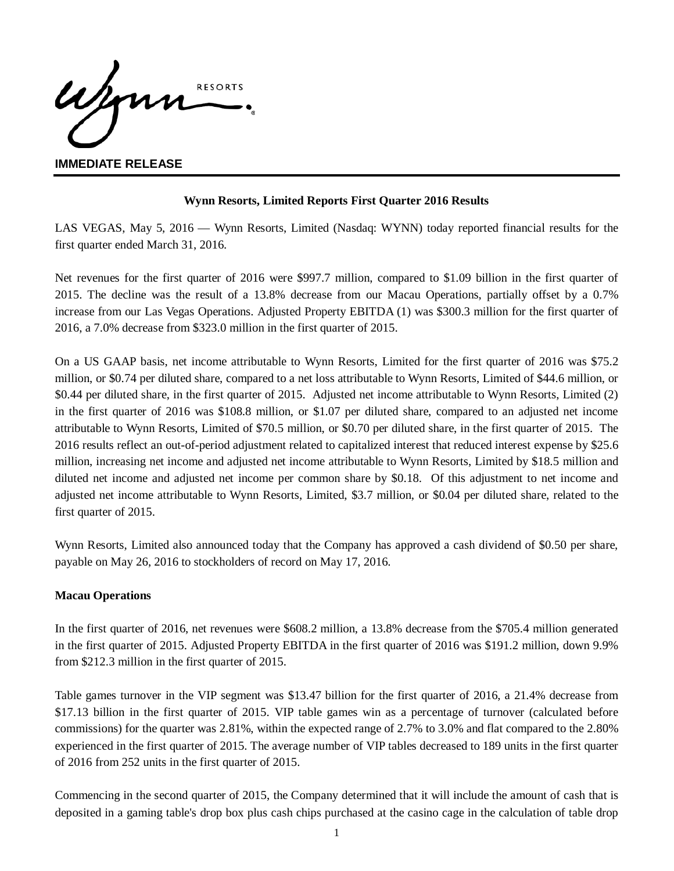Wynn **RESORTS** 

### **IMMEDIATE RELEASE**

### **Wynn Resorts, Limited Reports First Quarter 2016 Results**

LAS VEGAS, May 5, 2016 — Wynn Resorts, Limited (Nasdaq: WYNN) today reported financial results for the first quarter ended March 31, 2016.

Net revenues for the first quarter of 2016 were \$997.7 million, compared to \$1.09 billion in the first quarter of 2015. The decline was the result of a 13.8% decrease from our Macau Operations, partially offset by a 0.7% increase from our Las Vegas Operations. Adjusted Property EBITDA (1) was \$300.3 million for the first quarter of 2016, a 7.0% decrease from \$323.0 million in the first quarter of 2015.

On a US GAAP basis, net income attributable to Wynn Resorts, Limited for the first quarter of 2016 was \$75.2 million, or \$0.74 per diluted share, compared to a net loss attributable to Wynn Resorts, Limited of \$44.6 million, or \$0.44 per diluted share, in the first quarter of 2015. Adjusted net income attributable to Wynn Resorts, Limited (2) in the first quarter of 2016 was \$108.8 million, or \$1.07 per diluted share, compared to an adjusted net income attributable to Wynn Resorts, Limited of \$70.5 million, or \$0.70 per diluted share, in the first quarter of 2015. The 2016 results reflect an out-of-period adjustment related to capitalized interest that reduced interest expense by \$25.6 million, increasing net income and adjusted net income attributable to Wynn Resorts, Limited by \$18.5 million and diluted net income and adjusted net income per common share by \$0.18. Of this adjustment to net income and adjusted net income attributable to Wynn Resorts, Limited, \$3.7 million, or \$0.04 per diluted share, related to the first quarter of 2015.

Wynn Resorts, Limited also announced today that the Company has approved a cash dividend of \$0.50 per share, payable on May 26, 2016 to stockholders of record on May 17, 2016.

### **Macau Operations**

In the first quarter of 2016, net revenues were \$608.2 million, a 13.8% decrease from the \$705.4 million generated in the first quarter of 2015. Adjusted Property EBITDA in the first quarter of 2016 was \$191.2 million, down 9.9% from \$212.3 million in the first quarter of 2015.

Table games turnover in the VIP segment was \$13.47 billion for the first quarter of 2016, a 21.4% decrease from \$17.13 billion in the first quarter of 2015. VIP table games win as a percentage of turnover (calculated before commissions) for the quarter was 2.81%, within the expected range of 2.7% to 3.0% and flat compared to the 2.80% experienced in the first quarter of 2015. The average number of VIP tables decreased to 189 units in the first quarter of 2016 from 252 units in the first quarter of 2015.

Commencing in the second quarter of 2015, the Company determined that it will include the amount of cash that is deposited in a gaming table's drop box plus cash chips purchased at the casino cage in the calculation of table drop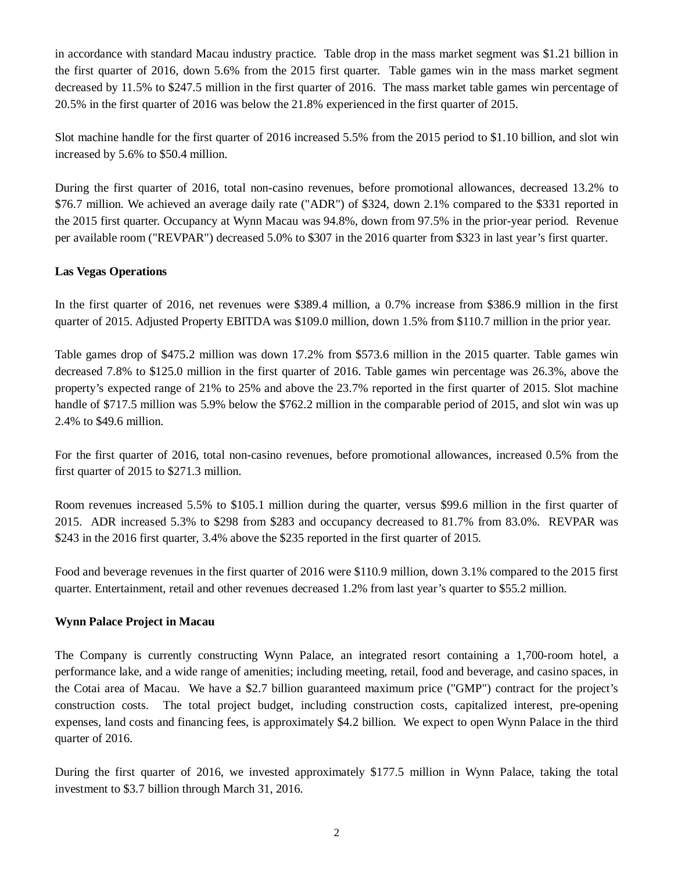in accordance with standard Macau industry practice. Table drop in the mass market segment was \$1.21 billion in the first quarter of 2016, down 5.6% from the 2015 first quarter. Table games win in the mass market segment decreased by 11.5% to \$247.5 million in the first quarter of 2016. The mass market table games win percentage of 20.5% in the first quarter of 2016 was below the 21.8% experienced in the first quarter of 2015.

Slot machine handle for the first quarter of 2016 increased 5.5% from the 2015 period to \$1.10 billion, and slot win increased by 5.6% to \$50.4 million.

During the first quarter of 2016, total non-casino revenues, before promotional allowances, decreased 13.2% to \$76.7 million. We achieved an average daily rate ("ADR") of \$324, down 2.1% compared to the \$331 reported in the 2015 first quarter. Occupancy at Wynn Macau was 94.8%, down from 97.5% in the prior-year period. Revenue per available room ("REVPAR") decreased 5.0% to \$307 in the 2016 quarter from \$323 in last year's first quarter.

### **Las Vegas Operations**

In the first quarter of 2016, net revenues were \$389.4 million, a 0.7% increase from \$386.9 million in the first quarter of 2015. Adjusted Property EBITDA was \$109.0 million, down 1.5% from \$110.7 million in the prior year.

Table games drop of \$475.2 million was down 17.2% from \$573.6 million in the 2015 quarter. Table games win decreased 7.8% to \$125.0 million in the first quarter of 2016. Table games win percentage was 26.3%, above the property's expected range of 21% to 25% and above the 23.7% reported in the first quarter of 2015. Slot machine handle of \$717.5 million was 5.9% below the \$762.2 million in the comparable period of 2015, and slot win was up 2.4% to \$49.6 million.

For the first quarter of 2016, total non-casino revenues, before promotional allowances, increased 0.5% from the first quarter of 2015 to \$271.3 million.

Room revenues increased 5.5% to \$105.1 million during the quarter, versus \$99.6 million in the first quarter of 2015. ADR increased 5.3% to \$298 from \$283 and occupancy decreased to 81.7% from 83.0%. REVPAR was \$243 in the 2016 first quarter, 3.4% above the \$235 reported in the first quarter of 2015.

Food and beverage revenues in the first quarter of 2016 were \$110.9 million, down 3.1% compared to the 2015 first quarter. Entertainment, retail and other revenues decreased 1.2% from last year's quarter to \$55.2 million.

### **Wynn Palace Project in Macau**

The Company is currently constructing Wynn Palace, an integrated resort containing a 1,700-room hotel, a performance lake, and a wide range of amenities; including meeting, retail, food and beverage, and casino spaces, in the Cotai area of Macau. We have a \$2.7 billion guaranteed maximum price ("GMP") contract for the project's construction costs. The total project budget, including construction costs, capitalized interest, pre-opening expenses, land costs and financing fees, is approximately \$4.2 billion. We expect to open Wynn Palace in the third quarter of 2016.

During the first quarter of 2016, we invested approximately \$177.5 million in Wynn Palace, taking the total investment to \$3.7 billion through March 31, 2016.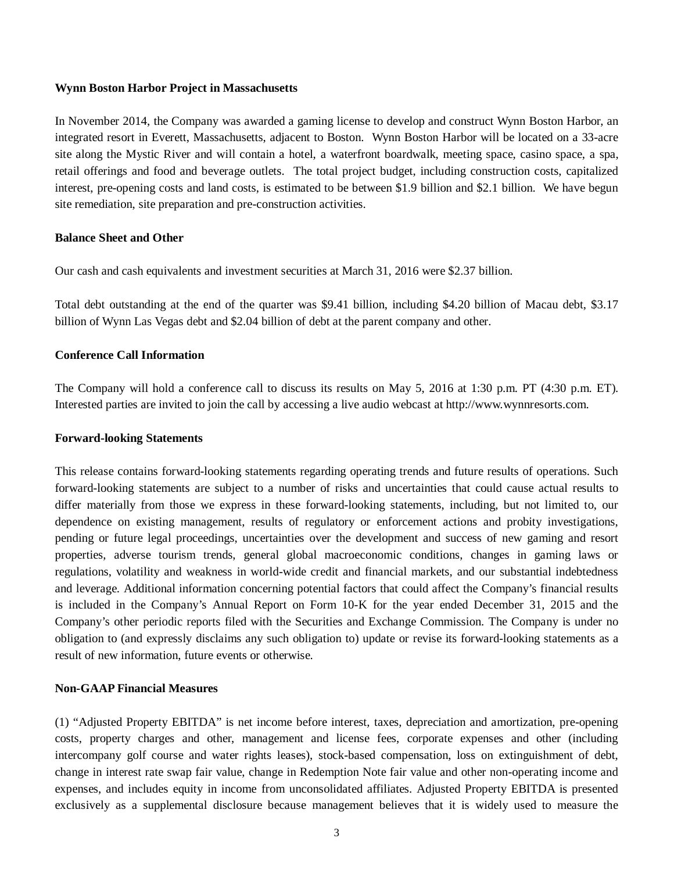#### **Wynn Boston Harbor Project in Massachusetts**

In November 2014, the Company was awarded a gaming license to develop and construct Wynn Boston Harbor, an integrated resort in Everett, Massachusetts, adjacent to Boston. Wynn Boston Harbor will be located on a 33-acre site along the Mystic River and will contain a hotel, a waterfront boardwalk, meeting space, casino space, a spa, retail offerings and food and beverage outlets. The total project budget, including construction costs, capitalized interest, pre-opening costs and land costs, is estimated to be between \$1.9 billion and \$2.1 billion. We have begun site remediation, site preparation and pre-construction activities.

### **Balance Sheet and Other**

Our cash and cash equivalents and investment securities at March 31, 2016 were \$2.37 billion.

Total debt outstanding at the end of the quarter was \$9.41 billion, including \$4.20 billion of Macau debt, \$3.17 billion of Wynn Las Vegas debt and \$2.04 billion of debt at the parent company and other.

### **Conference Call Information**

The Company will hold a conference call to discuss its results on May 5, 2016 at 1:30 p.m. PT (4:30 p.m. ET). Interested parties are invited to join the call by accessing a live audio webcast at http://www.wynnresorts.com.

#### **Forward-looking Statements**

This release contains forward-looking statements regarding operating trends and future results of operations. Such forward-looking statements are subject to a number of risks and uncertainties that could cause actual results to differ materially from those we express in these forward-looking statements, including, but not limited to, our dependence on existing management, results of regulatory or enforcement actions and probity investigations, pending or future legal proceedings, uncertainties over the development and success of new gaming and resort properties, adverse tourism trends, general global macroeconomic conditions, changes in gaming laws or regulations, volatility and weakness in world-wide credit and financial markets, and our substantial indebtedness and leverage. Additional information concerning potential factors that could affect the Company's financial results is included in the Company's Annual Report on Form 10-K for the year ended December 31, 2015 and the Company's other periodic reports filed with the Securities and Exchange Commission. The Company is under no obligation to (and expressly disclaims any such obligation to) update or revise its forward-looking statements as a result of new information, future events or otherwise.

### **Non-GAAP Financial Measures**

(1) "Adjusted Property EBITDA" is net income before interest, taxes, depreciation and amortization, pre-opening costs, property charges and other, management and license fees, corporate expenses and other (including intercompany golf course and water rights leases), stock-based compensation, loss on extinguishment of debt, change in interest rate swap fair value, change in Redemption Note fair value and other non-operating income and expenses, and includes equity in income from unconsolidated affiliates. Adjusted Property EBITDA is presented exclusively as a supplemental disclosure because management believes that it is widely used to measure the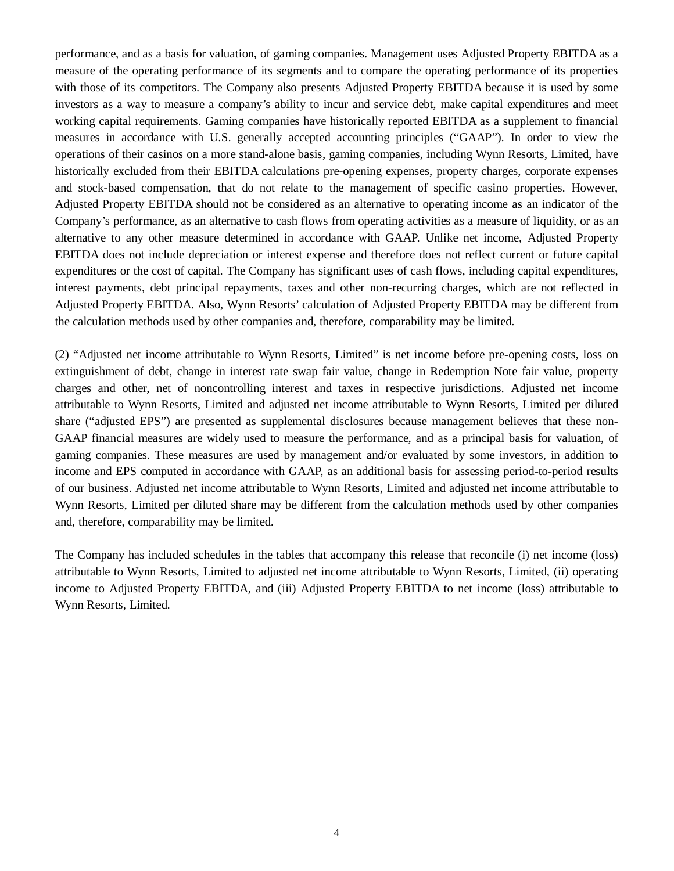performance, and as a basis for valuation, of gaming companies. Management uses Adjusted Property EBITDA as a measure of the operating performance of its segments and to compare the operating performance of its properties with those of its competitors. The Company also presents Adjusted Property EBITDA because it is used by some investors as a way to measure a company's ability to incur and service debt, make capital expenditures and meet working capital requirements. Gaming companies have historically reported EBITDA as a supplement to financial measures in accordance with U.S. generally accepted accounting principles ("GAAP"). In order to view the operations of their casinos on a more stand-alone basis, gaming companies, including Wynn Resorts, Limited, have historically excluded from their EBITDA calculations pre-opening expenses, property charges, corporate expenses and stock-based compensation, that do not relate to the management of specific casino properties. However, Adjusted Property EBITDA should not be considered as an alternative to operating income as an indicator of the Company's performance, as an alternative to cash flows from operating activities as a measure of liquidity, or as an alternative to any other measure determined in accordance with GAAP. Unlike net income, Adjusted Property EBITDA does not include depreciation or interest expense and therefore does not reflect current or future capital expenditures or the cost of capital. The Company has significant uses of cash flows, including capital expenditures, interest payments, debt principal repayments, taxes and other non-recurring charges, which are not reflected in Adjusted Property EBITDA. Also, Wynn Resorts' calculation of Adjusted Property EBITDA may be different from the calculation methods used by other companies and, therefore, comparability may be limited.

(2) "Adjusted net income attributable to Wynn Resorts, Limited" is net income before pre-opening costs, loss on extinguishment of debt, change in interest rate swap fair value, change in Redemption Note fair value, property charges and other, net of noncontrolling interest and taxes in respective jurisdictions. Adjusted net income attributable to Wynn Resorts, Limited and adjusted net income attributable to Wynn Resorts, Limited per diluted share ("adjusted EPS") are presented as supplemental disclosures because management believes that these non-GAAP financial measures are widely used to measure the performance, and as a principal basis for valuation, of gaming companies. These measures are used by management and/or evaluated by some investors, in addition to income and EPS computed in accordance with GAAP, as an additional basis for assessing period-to-period results of our business. Adjusted net income attributable to Wynn Resorts, Limited and adjusted net income attributable to Wynn Resorts, Limited per diluted share may be different from the calculation methods used by other companies and, therefore, comparability may be limited.

The Company has included schedules in the tables that accompany this release that reconcile (i) net income (loss) attributable to Wynn Resorts, Limited to adjusted net income attributable to Wynn Resorts, Limited, (ii) operating income to Adjusted Property EBITDA, and (iii) Adjusted Property EBITDA to net income (loss) attributable to Wynn Resorts, Limited.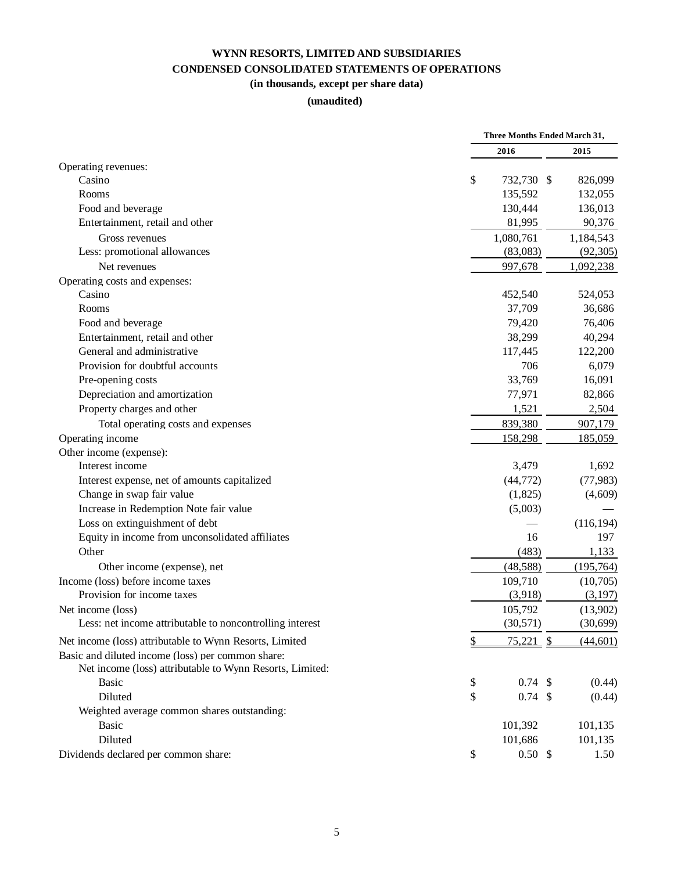# **WYNN RESORTS, LIMITED AND SUBSIDIARIES CONDENSED CONSOLIDATED STATEMENTS OF OPERATIONS**

# **(in thousands, except per share data)**

# **(unaudited)**

|                                                                                                               | Three Months Ended March 31, |            |  |
|---------------------------------------------------------------------------------------------------------------|------------------------------|------------|--|
|                                                                                                               | 2016                         | 2015       |  |
| Operating revenues:                                                                                           |                              |            |  |
| Casino                                                                                                        | \$<br>732,730 \$             | 826,099    |  |
| Rooms                                                                                                         | 135,592                      | 132,055    |  |
| Food and beverage                                                                                             | 130,444                      | 136,013    |  |
| Entertainment, retail and other                                                                               | 81,995                       | 90,376     |  |
| Gross revenues                                                                                                | 1,080,761                    | 1,184,543  |  |
| Less: promotional allowances                                                                                  | (83,083)                     | (92, 305)  |  |
| Net revenues                                                                                                  | 997,678                      | 1,092,238  |  |
| Operating costs and expenses:                                                                                 |                              |            |  |
| Casino                                                                                                        | 452,540                      | 524,053    |  |
| Rooms                                                                                                         | 37,709                       | 36,686     |  |
| Food and beverage                                                                                             | 79,420                       | 76,406     |  |
| Entertainment, retail and other                                                                               | 38,299                       | 40,294     |  |
| General and administrative                                                                                    | 117,445                      | 122,200    |  |
| Provision for doubtful accounts                                                                               | 706                          | 6,079      |  |
| Pre-opening costs                                                                                             | 33,769                       | 16,091     |  |
| Depreciation and amortization                                                                                 | 77,971                       | 82,866     |  |
| Property charges and other                                                                                    | 1,521                        | 2,504      |  |
| Total operating costs and expenses                                                                            | 839,380                      | 907,179    |  |
| Operating income                                                                                              | 158,298                      | 185,059    |  |
| Other income (expense):                                                                                       |                              |            |  |
| Interest income                                                                                               | 3,479                        | 1,692      |  |
| Interest expense, net of amounts capitalized                                                                  | (44, 772)                    | (77, 983)  |  |
| Change in swap fair value                                                                                     | (1,825)                      | (4,609)    |  |
| Increase in Redemption Note fair value                                                                        | (5,003)                      |            |  |
| Loss on extinguishment of debt                                                                                |                              | (116, 194) |  |
| Equity in income from unconsolidated affiliates                                                               | 16                           | 197        |  |
| Other                                                                                                         | (483)                        | 1,133      |  |
| Other income (expense), net                                                                                   | (48,588)                     | (195, 764) |  |
| Income (loss) before income taxes                                                                             | 109,710                      | (10,705)   |  |
| Provision for income taxes                                                                                    | (3,918)                      | (3,197)    |  |
| Net income (loss)                                                                                             | 105,792                      | (13,902)   |  |
| Less: net income attributable to noncontrolling interest                                                      | (30,571)                     | (30,699)   |  |
| Net income (loss) attributable to Wynn Resorts, Limited                                                       | \$<br>$75,221$ \$            | (44,601)   |  |
| Basic and diluted income (loss) per common share:<br>Net income (loss) attributable to Wynn Resorts, Limited: |                              |            |  |
| <b>Basic</b>                                                                                                  | \$<br>$0.74$ \$              | (0.44)     |  |
| Diluted                                                                                                       | \$<br>$0.74$ \$              | (0.44)     |  |
| Weighted average common shares outstanding:                                                                   |                              |            |  |
| <b>Basic</b>                                                                                                  | 101,392                      | 101,135    |  |
| Diluted                                                                                                       | 101,686                      | 101,135    |  |
| Dividends declared per common share:                                                                          | \$<br>0.50 <sup>°</sup>      | 1.50       |  |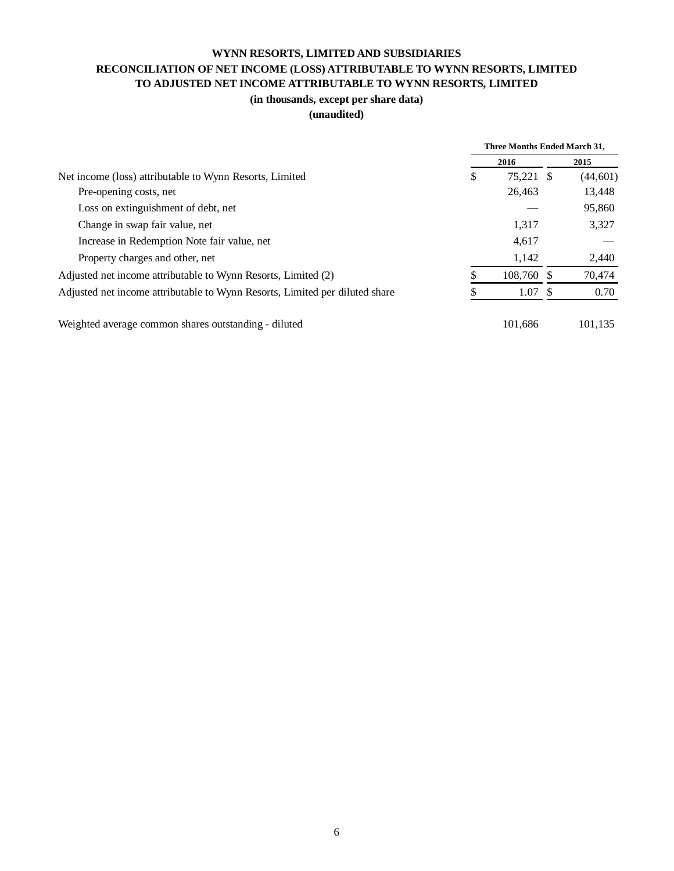### **WYNN RESORTS, LIMITED AND SUBSIDIARIES RECONCILIATION OF NET INCOME (LOSS) ATTRIBUTABLE TO WYNN RESORTS, LIMITED TO ADJUSTED NET INCOME ATTRIBUTABLE TO WYNN RESORTS, LIMITED**

### **(in thousands, except per share data)**

**(unaudited)**

|                                                                             | Three Months Ended March 31, |           |    |          |
|-----------------------------------------------------------------------------|------------------------------|-----------|----|----------|
|                                                                             |                              | 2016      |    | 2015     |
| Net income (loss) attributable to Wynn Resorts, Limited                     | \$                           | 75,221 \$ |    | (44,601) |
| Pre-opening costs, net                                                      |                              | 26,463    |    | 13.448   |
| Loss on extinguishment of debt, net                                         |                              |           |    | 95,860   |
| Change in swap fair value, net                                              |                              | 1.317     |    | 3,327    |
| Increase in Redemption Note fair value, net                                 |                              | 4,617     |    |          |
| Property charges and other, net                                             |                              | 1,142     |    | 2,440    |
| Adjusted net income attributable to Wynn Resorts, Limited (2)               |                              | 108.760   |    | 70,474   |
| Adjusted net income attributable to Wynn Resorts, Limited per diluted share |                              | 1.07      | £. | 0.70     |
|                                                                             |                              |           |    |          |
| Weighted average common shares outstanding - diluted                        |                              | 101.686   |    | 101.135  |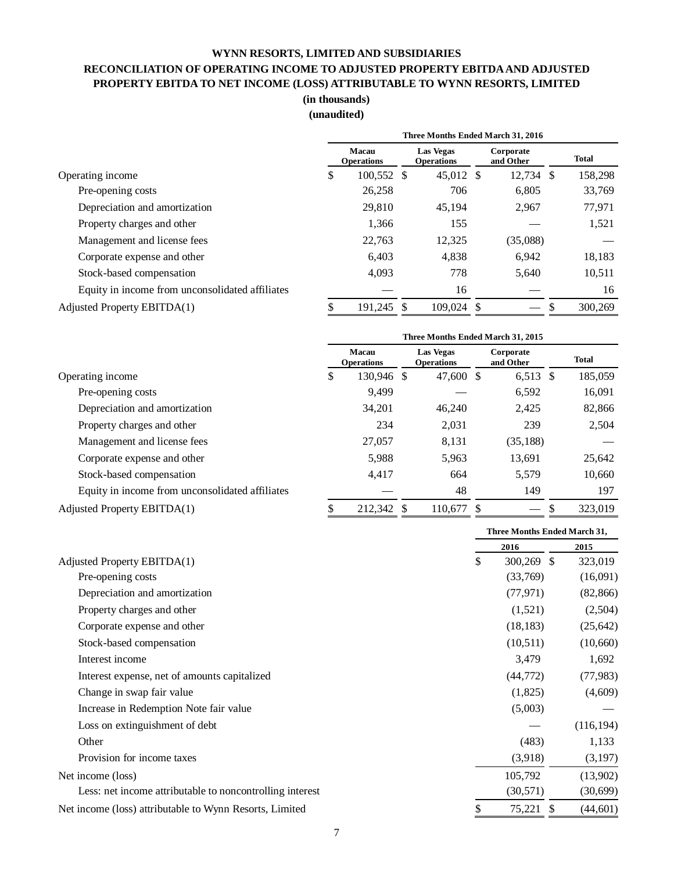### **WYNN RESORTS, LIMITED AND SUBSIDIARIES**

### **RECONCILIATION OF OPERATING INCOME TO ADJUSTED PROPERTY EBITDA AND ADJUSTED PROPERTY EBITDA TO NET INCOME (LOSS) ATTRIBUTABLE TO WYNN RESORTS, LIMITED**

# **(in thousands)**

| (unaudited) |
|-------------|
|             |

|                                                 | Three Months Ended March 31, 2016 |                            |  |                                       |                        |    |              |
|-------------------------------------------------|-----------------------------------|----------------------------|--|---------------------------------------|------------------------|----|--------------|
|                                                 |                                   | Macau<br><b>Operations</b> |  | <b>Las Vegas</b><br><b>Operations</b> | Corporate<br>and Other |    | <b>Total</b> |
| Operating income                                | \$                                | 100,552 \$                 |  | 45,012 \$                             | 12,734 \$              |    | 158,298      |
| Pre-opening costs                               |                                   | 26,258                     |  | 706                                   | 6,805                  |    | 33,769       |
| Depreciation and amortization                   |                                   | 29,810                     |  | 45,194                                | 2.967                  |    | 77,971       |
| Property charges and other                      |                                   | 1,366                      |  | 155                                   |                        |    | 1,521        |
| Management and license fees                     |                                   | 22,763                     |  | 12,325                                | (35,088)               |    |              |
| Corporate expense and other                     |                                   | 6,403                      |  | 4,838                                 | 6,942                  |    | 18,183       |
| Stock-based compensation                        |                                   | 4,093                      |  | 778                                   | 5,640                  |    | 10,511       |
| Equity in income from unconsolidated affiliates |                                   |                            |  | 16                                    |                        |    | 16           |
| Adjusted Property EBITDA(1)                     |                                   | 191,245                    |  | 109,024 \$                            |                        | \$ | 300,269      |

|                                                 | Three Months Ended March 31, 2015 |                            |  |                                       |                        |   |              |
|-------------------------------------------------|-----------------------------------|----------------------------|--|---------------------------------------|------------------------|---|--------------|
|                                                 |                                   | Macau<br><b>Operations</b> |  | <b>Las Vegas</b><br><b>Operations</b> | Corporate<br>and Other |   | <b>Total</b> |
| Operating income                                | \$                                | 130,946 \$                 |  | 47,600 \$                             | $6,513$ \$             |   | 185,059      |
| Pre-opening costs                               |                                   | 9.499                      |  |                                       | 6,592                  |   | 16,091       |
| Depreciation and amortization                   |                                   | 34,201                     |  | 46,240                                | 2,425                  |   | 82,866       |
| Property charges and other                      |                                   | 234                        |  | 2,031                                 | 239                    |   | 2,504        |
| Management and license fees                     |                                   | 27,057                     |  | 8,131                                 | (35, 188)              |   |              |
| Corporate expense and other                     |                                   | 5,988                      |  | 5,963                                 | 13,691                 |   | 25,642       |
| Stock-based compensation                        |                                   | 4,417                      |  | 664                                   | 5,579                  |   | 10,660       |
| Equity in income from unconsolidated affiliates |                                   |                            |  | 48                                    | 149                    |   | 197          |
| Adjusted Property EBITDA(1)                     | \$                                | 212,342 \$                 |  | 110.677 \$                            |                        | S | 323,019      |

|                                                          | Three Months Ended March 31, |            |  |
|----------------------------------------------------------|------------------------------|------------|--|
|                                                          | 2016                         | 2015       |  |
| Adjusted Property EBITDA(1)                              | \$<br>300,269 \$             | 323,019    |  |
| Pre-opening costs                                        | (33,769)                     | (16,091)   |  |
| Depreciation and amortization                            | (77, 971)                    | (82, 866)  |  |
| Property charges and other                               | (1,521)                      | (2,504)    |  |
| Corporate expense and other                              | (18, 183)                    | (25, 642)  |  |
| Stock-based compensation                                 | (10,511)                     | (10,660)   |  |
| Interest income                                          | 3,479                        | 1,692      |  |
| Interest expense, net of amounts capitalized             | (44, 772)                    | (77, 983)  |  |
| Change in swap fair value                                | (1,825)                      | (4,609)    |  |
| Increase in Redemption Note fair value                   | (5,003)                      |            |  |
| Loss on extinguishment of debt                           |                              | (116, 194) |  |
| Other                                                    | (483)                        | 1,133      |  |
| Provision for income taxes                               | (3,918)                      | (3,197)    |  |
| Net income (loss)                                        | 105,792                      | (13,902)   |  |
| Less: net income attributable to noncontrolling interest | (30,571)                     | (30,699)   |  |
| Net income (loss) attributable to Wynn Resorts, Limited  | \$<br>75,221                 | (44, 601)  |  |
|                                                          |                              |            |  |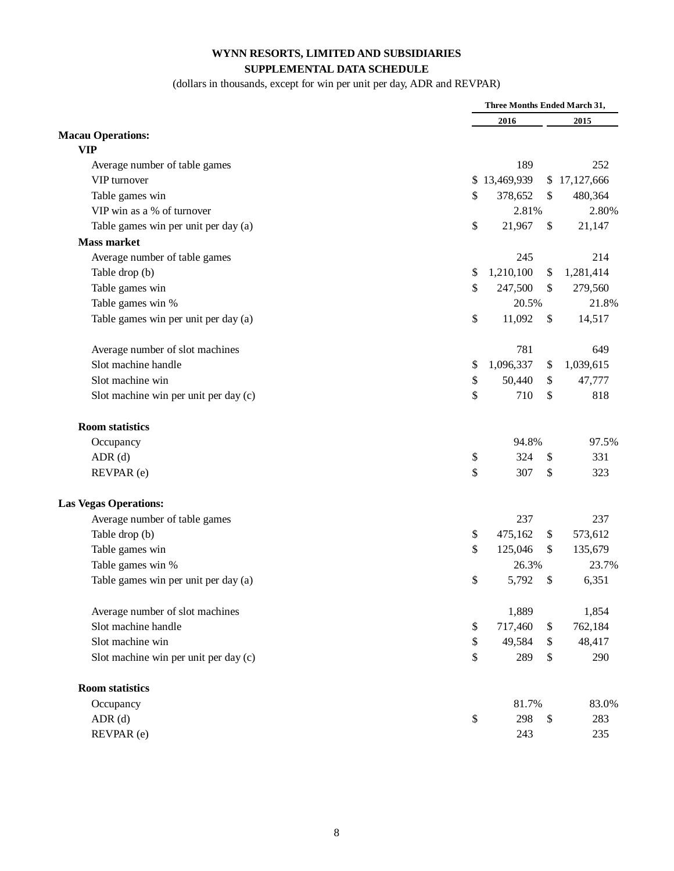# **WYNN RESORTS, LIMITED AND SUBSIDIARIES SUPPLEMENTAL DATA SCHEDULE**

(dollars in thousands, except for win per unit per day, ADR and REVPAR)

|                                        | Three Months Ended March 31, |               |              |
|----------------------------------------|------------------------------|---------------|--------------|
|                                        | 2016                         |               | 2015         |
| <b>Macau Operations:</b><br><b>VIP</b> |                              |               |              |
| Average number of table games          | 189                          |               | 252          |
| VIP turnover                           | \$13,469,939                 |               | \$17,127,666 |
| Table games win                        | \$<br>378,652                | \$            | 480,364      |
| VIP win as a % of turnover             | 2.81%                        |               | 2.80%        |
| Table games win per unit per day (a)   | \$<br>21,967                 | \$            | 21,147       |
| <b>Mass market</b>                     |                              |               |              |
| Average number of table games          | 245                          |               | 214          |
| Table drop (b)                         | \$<br>1,210,100              | \$            | 1,281,414    |
| Table games win                        | \$<br>247,500                | \$            | 279,560      |
| Table games win %                      | 20.5%                        |               | 21.8%        |
| Table games win per unit per day (a)   | \$<br>11,092                 | $\mathcal{S}$ | 14,517       |
| Average number of slot machines        | 781                          |               | 649          |
| Slot machine handle                    | \$<br>1,096,337              | \$            | 1,039,615    |
| Slot machine win                       | \$<br>50,440                 | $\mathcal{S}$ | 47,777       |
| Slot machine win per unit per day (c)  | \$<br>710                    | \$            | 818          |
| <b>Room statistics</b>                 |                              |               |              |
| Occupancy                              | 94.8%                        |               | 97.5%        |
| $ADR$ $(d)$                            | \$<br>324                    | \$            | 331          |
| REVPAR (e)                             | \$<br>307                    | \$            | 323          |
| <b>Las Vegas Operations:</b>           |                              |               |              |
| Average number of table games          | 237                          |               | 237          |
| Table drop (b)                         | \$<br>475,162                | \$            | 573,612      |
| Table games win                        | \$<br>125,046                | $\mathcal{S}$ | 135,679      |
| Table games win %                      | 26.3%                        |               | 23.7%        |
| Table games win per unit per day (a)   | \$<br>5,792                  | \$            | 6,351        |
| Average number of slot machines        | 1,889                        |               | 1,854        |
| Slot machine handle                    | \$<br>717,460                | $\mathcal{S}$ | 762,184      |
| Slot machine win                       | \$<br>49,584                 | \$            | 48,417       |
| Slot machine win per unit per day (c)  | \$<br>289                    | \$            | 290          |
| <b>Room statistics</b>                 |                              |               |              |
| Occupancy                              | 81.7%                        |               | 83.0%        |
| $ADR$ $(d)$                            | \$<br>298                    | \$            | 283          |
| REVPAR (e)                             | 243                          |               | 235          |